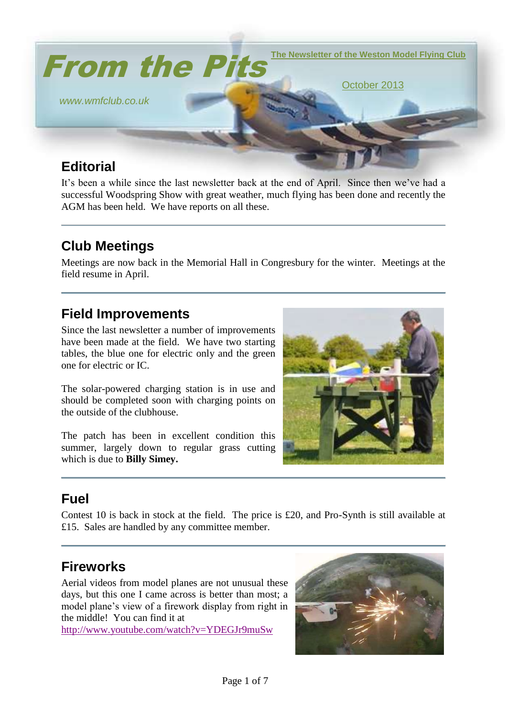

It's been a while since the last newsletter back at the end of April. Since then we've had a successful Woodspring Show with great weather, much flying has been done and recently the AGM has been held. We have reports on all these.

# **Club Meetings**

Meetings are now back in the Memorial Hall in Congresbury for the winter. Meetings at the field resume in April.

### **Field Improvements**

Since the last newsletter a number of improvements have been made at the field. We have two starting tables, the blue one for electric only and the green one for electric or IC.

The solar-powered charging station is in use and should be completed soon with charging points on the outside of the clubhouse.

The patch has been in excellent condition this summer, largely down to regular grass cutting which is due to **Billy Simey.**



## **Fuel**

Contest 10 is back in stock at the field. The price is £20, and Pro-Synth is still available at £15. Sales are handled by any committee member.

## **Fireworks**

Aerial videos from model planes are not unusual these days, but this one I came across is better than most; a model plane's view of a firework display from right in the middle! You can find it at

<http://www.youtube.com/watch?v=YDEGJr9muSw>

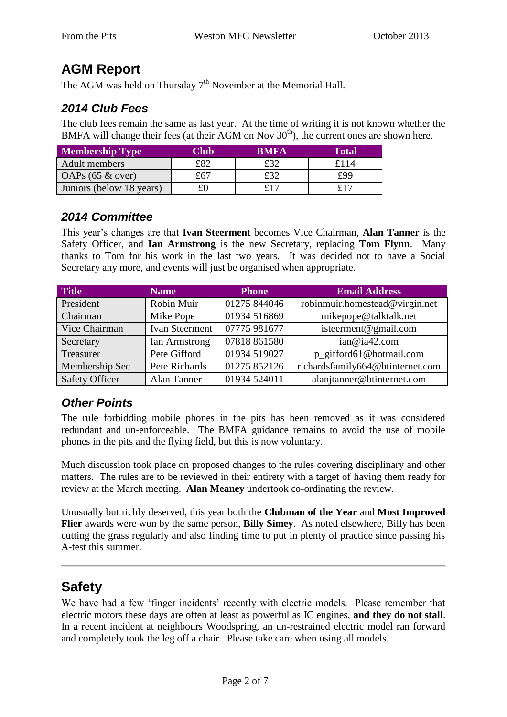## **AGM Report**

The AGM was held on Thursday  $7<sup>th</sup>$  November at the Memorial Hall.

#### *2014 Club Fees*

The club fees remain the same as last year. At the time of writing it is not known whether the BMFA will change their fees (at their AGM on Nov  $30<sup>th</sup>$ ), the current ones are shown here.

| <b>Membership Type</b>   | Club | <b>RMFA</b> | Fotal |
|--------------------------|------|-------------|-------|
| Adult members            | £82  | £32         | £114  |
| OAPs $(65 \& over)$      | £67  | £32         | £99   |
| Juniors (below 18 years) |      | £17         | £17   |

#### *2014 Committee*

This year's changes are that **Ivan Steerment** becomes Vice Chairman, **Alan Tanner** is the Safety Officer, and **Ian Armstrong** is the new Secretary, replacing **Tom Flynn**. Many thanks to Tom for his work in the last two years. It was decided not to have a Social Secretary any more, and events will just be organised when appropriate.

| <b>Title</b>          | <b>Name</b>    | <b>Phone</b> | <b>Email Address</b>             |
|-----------------------|----------------|--------------|----------------------------------|
| President             | Robin Muir     | 01275 844046 | robinmuir.homestead@virgin.net   |
| Chairman              | Mike Pope      | 01934 516869 | mikepope@talktalk.net            |
| Vice Chairman         | Ivan Steerment | 07775 981677 | isteerment@gmail.com             |
| Secretary             | Ian Armstrong  | 07818 861580 | ian@ia42.com                     |
| Treasurer             | Pete Gifford   | 01934 519027 | p_gifford61@hotmail.com          |
| Membership Sec        | Pete Richards  | 01275 852126 | richardsfamily664@btinternet.com |
| <b>Safety Officer</b> | Alan Tanner    | 01934 524011 | alanjtanner@btinternet.com       |

#### *Other Points*

The rule forbidding mobile phones in the pits has been removed as it was considered redundant and un-enforceable. The BMFA guidance remains to avoid the use of mobile phones in the pits and the flying field, but this is now voluntary.

Much discussion took place on proposed changes to the rules covering disciplinary and other matters. The rules are to be reviewed in their entirety with a target of having them ready for review at the March meeting. **Alan Meaney** undertook co-ordinating the review.

Unusually but richly deserved, this year both the **Clubman of the Year** and **Most Improved Flier** awards were won by the same person, **Billy Simey**. As noted elsewhere, Billy has been cutting the grass regularly and also finding time to put in plenty of practice since passing his A-test this summer.

## **Safety**

We have had a few 'finger incidents' recently with electric models. Please remember that electric motors these days are often at least as powerful as IC engines, **and they do not stall**. In a recent incident at neighbours Woodspring, an un-restrained electric model ran forward and completely took the leg off a chair. Please take care when using all models.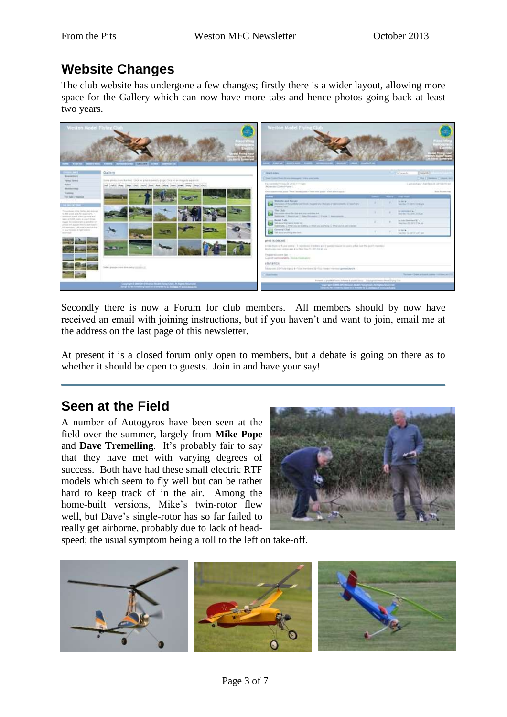## **Website Changes**

The club website has undergone a few changes; firstly there is a wider layout, allowing more space for the Gallery which can now have more tabs and hence photos going back at least two years.



Secondly there is now a Forum for club members. All members should by now have received an email with joining instructions, but if you haven't and want to join, email me at the address on the last page of this newsletter.

At present it is a closed forum only open to members, but a debate is going on there as to whether it should be open to guests. Join in and have your say!

### **Seen at the Field**

A number of Autogyros have been seen at the field over the summer, largely from **Mike Pope** and **Dave Tremelling**. It's probably fair to say that they have met with varying degrees of success. Both have had these small electric RTF models which seem to fly well but can be rather hard to keep track of in the air. Among the home-built versions, Mike's twin-rotor flew well, but Dave's single-rotor has so far failed to really get airborne, probably due to lack of head-



speed; the usual symptom being a roll to the left on take-off.

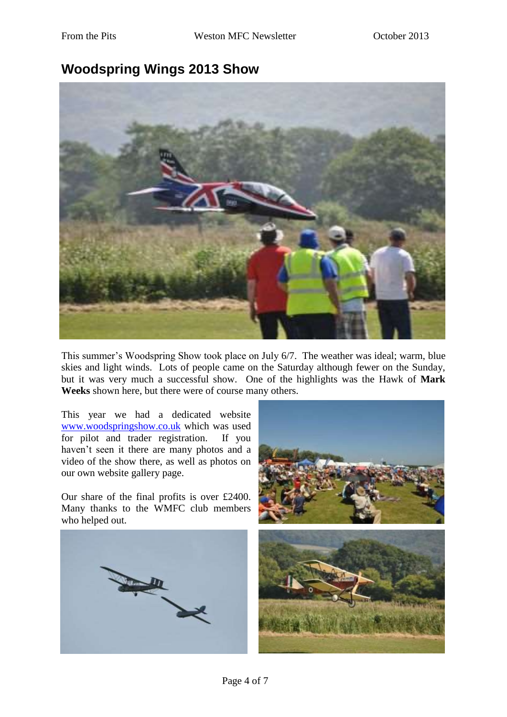#### **Woodspring Wings 2013 Show**



This summer's Woodspring Show took place on July 6/7. The weather was ideal; warm, blue skies and light winds. Lots of people came on the Saturday although fewer on the Sunday, but it was very much a successful show. One of the highlights was the Hawk of **Mark Weeks** shown here, but there were of course many others.

This year we had a dedicated website [www.woodspringshow.co.uk](http://www.woodspringshow.co.uk/) which was used for pilot and trader registration. If you haven't seen it there are many photos and a video of the show there, as well as photos on our own website gallery page.

Our share of the final profits is over £2400. Many thanks to the WMFC club members who helped out.



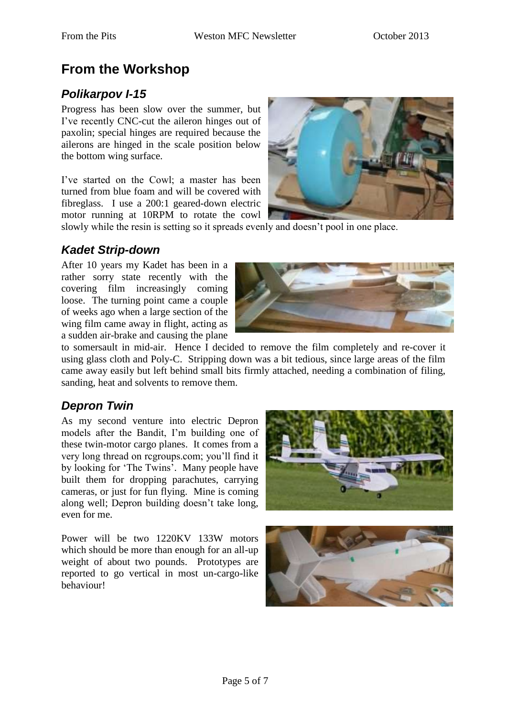## **From the Workshop**

#### *Polikarpov I-15*

Progress has been slow over the summer, but I've recently CNC-cut the aileron hinges out of paxolin; special hinges are required because the ailerons are hinged in the scale position below the bottom wing surface.

I've started on the Cowl; a master has been turned from blue foam and will be covered with fibreglass. I use a 200:1 geared-down electric motor running at 10RPM to rotate the cowl



slowly while the resin is setting so it spreads evenly and doesn't pool in one place.

#### *Kadet Strip-down*

After 10 years my Kadet has been in a rather sorry state recently with the covering film increasingly coming loose. The turning point came a couple of weeks ago when a large section of the wing film came away in flight, acting as a sudden air-brake and causing the plane



to somersault in mid-air. Hence I decided to remove the film completely and re-cover it using glass cloth and Poly-C. Stripping down was a bit tedious, since large areas of the film came away easily but left behind small bits firmly attached, needing a combination of filing, sanding, heat and solvents to remove them.

#### *Depron Twin*

As my second venture into electric Depron models after the Bandit, I'm building one of these twin-motor cargo planes. It comes from a very long thread on rcgroups.com; you'll find it by looking for 'The Twins'. Many people have built them for dropping parachutes, carrying cameras, or just for fun flying. Mine is coming along well; Depron building doesn't take long, even for me.

Power will be two 1220KV 133W motors which should be more than enough for an all-up weight of about two pounds. Prototypes are reported to go vertical in most un-cargo-like behaviour!

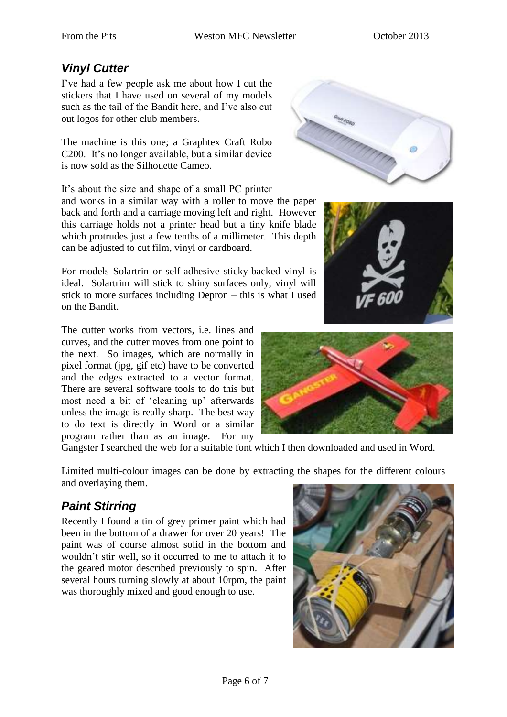#### *Vinyl Cutter*

I've had a few people ask me about how I cut the stickers that I have used on several of my models such as the tail of the Bandit here, and I've also cut out logos for other club members.

The machine is this one; a Graphtex Craft Robo C200. It's no longer available, but a similar device is now sold as the Silhouette Cameo.

It's about the size and shape of a small PC printer and works in a similar way with a roller to move the paper back and forth and a carriage moving left and right. However this carriage holds not a printer head but a tiny knife blade which protrudes just a few tenths of a millimeter. This depth can be adjusted to cut film, vinyl or cardboard.

For models Solartrin or self-adhesive sticky-backed vinyl is ideal. Solartrim will stick to shiny surfaces only; vinyl will stick to more surfaces including Depron – this is what I used on the Bandit.

The cutter works from vectors, i.e. lines and curves, and the cutter moves from one point to the next. So images, which are normally in pixel format (jpg, gif etc) have to be converted and the edges extracted to a vector format. There are several software tools to do this but most need a bit of 'cleaning up' afterwards unless the image is really sharp. The best way to do text is directly in Word or a similar program rather than as an image. For my

Gangster I searched the web for a suitable font which I then downloaded and used in Word.

Limited multi-colour images can be done by extracting the shapes for the different colours and overlaying them.

### *Paint Stirring*

Recently I found a tin of grey primer paint which had been in the bottom of a drawer for over 20 years! The paint was of course almost solid in the bottom and wouldn't stir well, so it occurred to me to attach it to the geared motor described previously to spin. After several hours turning slowly at about 10rpm, the paint was thoroughly mixed and good enough to use.